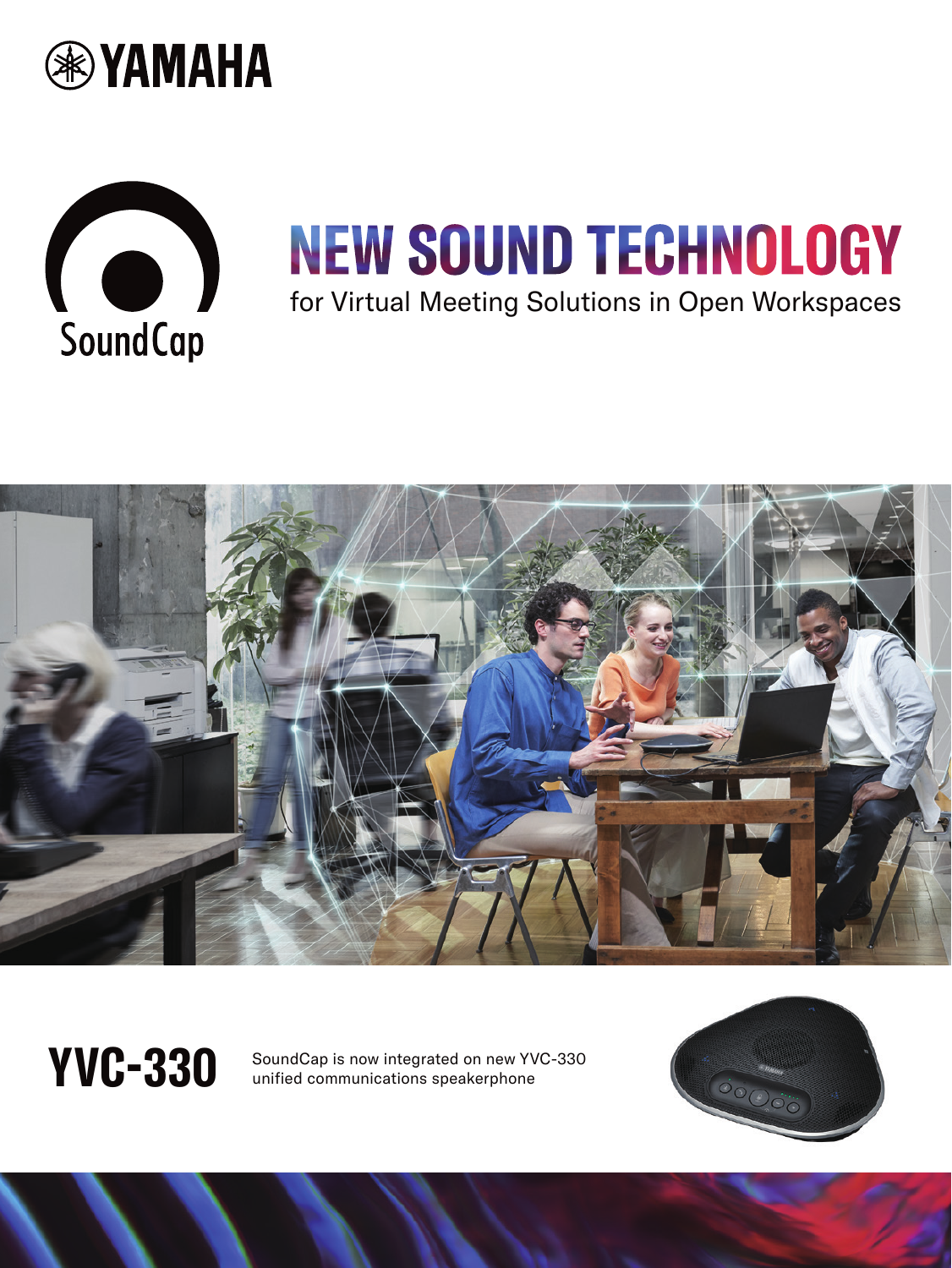



## **NEW SOUND TECHNOLOGY** for Virtual Meeting Solutions in Open Workspaces



WC-330 SoundCap is now integrated on new YVC-330<br>wnified communications speakerphone